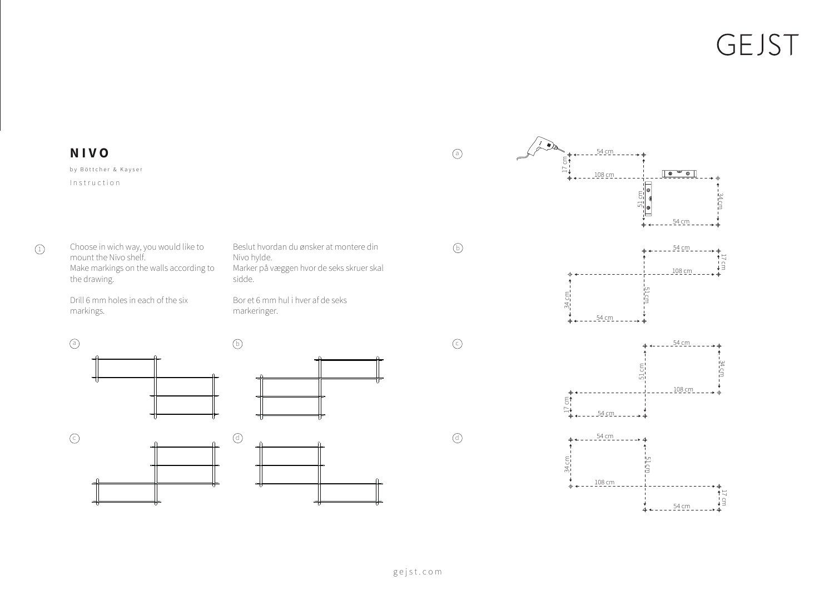## GEJST